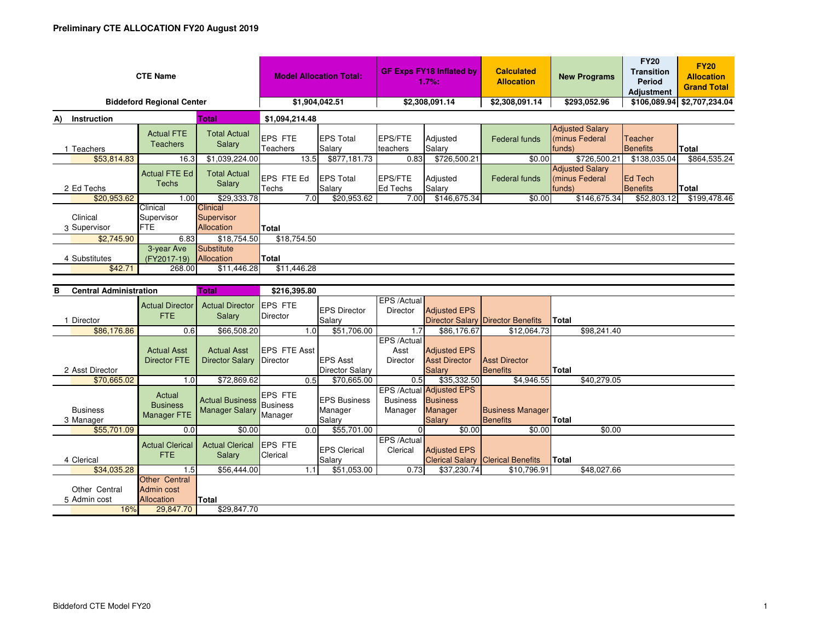| <b>CTE Name</b>                   |                                      |                                             | <b>Model Allocation Total:</b> |                            | <b>GF Exps FY18 Inflated by</b><br>1.7%: |                    | <b>Calculated</b><br><b>Allocation</b> | <b>New Programs</b>                                | <b>FY20</b><br><b>Transition</b><br><b>Period</b><br><b>Adjustment</b> | <b>FY20</b><br><b>Allocation</b><br><b>Grand Total</b> |  |
|-----------------------------------|--------------------------------------|---------------------------------------------|--------------------------------|----------------------------|------------------------------------------|--------------------|----------------------------------------|----------------------------------------------------|------------------------------------------------------------------------|--------------------------------------------------------|--|
| <b>Biddeford Regional Center</b>  | \$1,904,042.51                       |                                             | \$2,308,091.14                 |                            | \$2,308,091.14                           | \$293,052.96       |                                        | \$106,089.94 \$2,707,234.04                        |                                                                        |                                                        |  |
| <b>Total</b><br>Instruction<br>A) |                                      |                                             | \$1,094,214.48                 |                            |                                          |                    |                                        |                                                    |                                                                        |                                                        |  |
| Teachers                          | <b>Actual FTE</b><br><b>Teachers</b> | <b>Total Actual</b><br>Salary               | <b>EPS FTE</b><br>Teachers     | <b>EPS Total</b><br>Salary | <b>EPS/FTE</b><br>teachers               | Adjusted<br>Salary | Federal funds                          | <b>Adjusted Salary</b><br>Iminus Federal<br>funds) | Teacher<br>Benefits                                                    | <b>Total</b>                                           |  |
| \$53,814.83                       | 16.3                                 | \$1,039,224.00                              | 13.5                           | \$877,181.73               | 0.83                                     | \$726,500.21       | \$0.00                                 | \$726,500.21                                       | \$138,035.04                                                           | \$864,535.24                                           |  |
| 2 Ed Techs                        | <b>Actual FTE Ed</b><br>Techs        | <b>Total Actual</b><br>Salary               | EPS FTE Ed<br>Techs            | <b>EPS Total</b><br>Salary | <b>EPS/FTE</b><br><b>Ed Techs</b>        | Adjusted<br>Salary | Federal funds                          | <b>Adjusted Salary</b><br>(minus Federal<br>funds) | <b>IEd Tech</b><br>Benefits                                            | <b>Total</b>                                           |  |
| \$20,953.62                       | 1.00                                 | \$29,333.78                                 | 7.0                            | \$20,953.62                | 7.00                                     | \$146,675.34       | \$0.00                                 | \$146,675.34                                       | \$52,803.12                                                            | \$199.478.46                                           |  |
| Clinical<br>3 Supervisor          | Clinical<br>Supervisor<br><b>FTE</b> | <b>Clinical</b><br>Supervisor<br>Allocation | Total                          |                            |                                          |                    |                                        |                                                    |                                                                        |                                                        |  |
| \$2,745.90                        | 6.83                                 | \$18,754.50                                 | \$18,754.50                    |                            |                                          |                    |                                        |                                                    |                                                                        |                                                        |  |
| 4 Substitutes<br>\$42.71          | 3-year Ave<br>(FY2017-19)<br>268.00  | Substitute<br>Allocation<br>\$11,446.28     | <b>Total</b><br>\$11,446.28    |                            |                                          |                    |                                        |                                                    |                                                                        |                                                        |  |

| <b>Central Administration</b><br>в |                                                         | Total                                             | \$216,395.80               |                                          |                                |                                                                                |                                            |              |             |
|------------------------------------|---------------------------------------------------------|---------------------------------------------------|----------------------------|------------------------------------------|--------------------------------|--------------------------------------------------------------------------------|--------------------------------------------|--------------|-------------|
|                                    | <b>Actual Director</b><br><b>FTE</b>                    | <b>Actual Director</b><br><b>Salary</b>           | <b>EPS FTE</b><br>Director | <b>EPS Director</b>                      | EPS /Actual<br><b>Director</b> | <b>Adjusted EPS</b>                                                            |                                            |              |             |
| Director                           |                                                         |                                                   |                            | Salary                                   |                                |                                                                                | <b>Director Salary Director Benefits</b>   | Total        |             |
| \$86,176.86                        | 0.6                                                     | \$66,508.20                                       |                            | \$51,706.00<br>1.0                       | .7                             | \$86,176.67                                                                    | \$12,064.73                                |              | \$98,241.40 |
|                                    | <b>Actual Asst</b>                                      | <b>Actual Asst</b>                                | <b>EPS FTE Asst</b>        |                                          | EPS /Actual<br>Asst            | <b>Adjusted EPS</b>                                                            |                                            |              |             |
|                                    | <b>Director FTE</b>                                     | <b>Director Salary</b>                            | Director                   | <b>EPS Asst</b>                          | <b>Director</b>                | <b>Asst Director</b>                                                           | <b>Asst Director</b>                       |              |             |
| 2 Asst Director                    |                                                         |                                                   |                            | <b>Director Salary</b>                   |                                | <b>Salary</b>                                                                  | Benefits                                   | Total        |             |
| \$70,665.02                        | 1.0 <sub>l</sub>                                        | \$72,869.62                                       |                            | \$70,665.00<br>0.5                       | 0.5                            | \$35,332.50                                                                    | \$4,946.55                                 |              | \$40,279.05 |
| <b>Business</b><br>3 Manager       | Actual<br><b>Business</b><br>Manager FTE                | Actual Business Business<br><b>Manager Salary</b> | <b>EPS FTE</b><br>Manager  | <b>EPS Business</b><br>Manager<br>Salary | <b>Business</b><br>Manager     | EPS /Actual Adjusted EPS<br><b>Business</b><br><b>Manager</b><br><b>Salary</b> | <b>Business Manager</b><br><b>Benefits</b> | <b>Total</b> |             |
| \$55,701.09                        | 0.0                                                     | \$0.00                                            |                            | \$55,701.00<br>0.0 <sub>l</sub>          |                                | \$0.00                                                                         | \$0.00                                     |              | \$0.00      |
| 4 Clerical                         | <b>Actual Clerical</b><br><b>FTE</b>                    | <b>Actual Clerical</b><br>Salary                  | <b>EPS FTE</b><br>Clerical | <b>EPS Clerical</b><br>Salary            | EPS /Actual<br>Clerical        | <b>Adjusted EPS</b>                                                            | <b>Clerical Salary Clerical Benefits</b>   | Total        |             |
| \$34,035.28                        | 1.5                                                     | \$56,444.00                                       |                            | \$51,053.00<br>1.1                       | 0.73                           | \$37,230.74                                                                    | \$10,796.91                                |              | \$48,027.66 |
| Other Central<br>5 Admin cost      | <b>Other Central</b><br>Admin cost<br><b>Allocation</b> | Total                                             |                            |                                          |                                |                                                                                |                                            |              |             |
| 16%                                | 29,847.70                                               | \$29,847.70                                       |                            |                                          |                                |                                                                                |                                            |              |             |